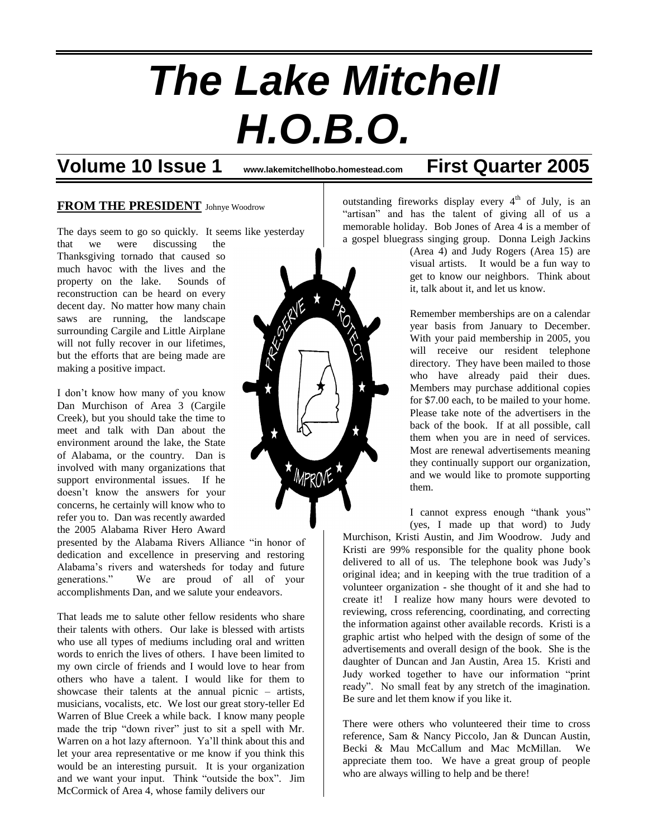# *The Lake Mitchell H.O.B.O.*

**Volume 10 Issue 1 www.lakemitchellhobo.homestead.com First Quarter 2005**

#### **FROM THE PRESIDENT** Johnye Woodrow

The days seem to go so quickly. It seems like yesterday

that we were discussing the Thanksgiving tornado that caused so much havoc with the lives and the property on the lake. Sounds of reconstruction can be heard on every decent day. No matter how many chain saws are running, the landscape surrounding Cargile and Little Airplane will not fully recover in our lifetimes, but the efforts that are being made are making a positive impact.

I don't know how many of you know Dan Murchison of Area 3 (Cargile Creek), but you should take the time to meet and talk with Dan about the environment around the lake, the State of Alabama, or the country. Dan is involved with many organizations that support environmental issues. If he doesn't know the answers for your concerns, he certainly will know who to refer you to. Dan was recently awarded the 2005 Alabama River Hero Award

presented by the Alabama Rivers Alliance "in honor of dedication and excellence in preserving and restoring Alabama's rivers and watersheds for today and future generations." We are proud of all of your accomplishments Dan, and we salute your endeavors.

That leads me to salute other fellow residents who share their talents with others. Our lake is blessed with artists who use all types of mediums including oral and written words to enrich the lives of others. I have been limited to my own circle of friends and I would love to hear from others who have a talent. I would like for them to showcase their talents at the annual picnic – artists, musicians, vocalists, etc. We lost our great story-teller Ed Warren of Blue Creek a while back. I know many people made the trip "down river" just to sit a spell with Mr. Warren on a hot lazy afternoon. Ya'll think about this and let your area representative or me know if you think this would be an interesting pursuit. It is your organization and we want your input. Think "outside the box". Jim McCormick of Area 4, whose family delivers our



outstanding fireworks display every  $4<sup>th</sup>$  of July, is an "artisan" and has the talent of giving all of us a memorable holiday. Bob Jones of Area 4 is a member of a gospel bluegrass singing group. Donna Leigh Jackins

> (Area 4) and Judy Rogers (Area 15) are visual artists. It would be a fun way to get to know our neighbors. Think about it, talk about it, and let us know.

> Remember memberships are on a calendar year basis from January to December. With your paid membership in 2005, you will receive our resident telephone directory. They have been mailed to those who have already paid their dues. Members may purchase additional copies for \$7.00 each, to be mailed to your home. Please take note of the advertisers in the back of the book. If at all possible, call them when you are in need of services. Most are renewal advertisements meaning they continually support our organization, and we would like to promote supporting them.

I cannot express enough "thank yous" (yes, I made up that word) to Judy

Murchison, Kristi Austin, and Jim Woodrow. Judy and Kristi are 99% responsible for the quality phone book delivered to all of us. The telephone book was Judy's original idea; and in keeping with the true tradition of a volunteer organization - she thought of it and she had to create it! I realize how many hours were devoted to reviewing, cross referencing, coordinating, and correcting the information against other available records. Kristi is a graphic artist who helped with the design of some of the advertisements and overall design of the book. She is the daughter of Duncan and Jan Austin, Area 15. Kristi and Judy worked together to have our information "print ready". No small feat by any stretch of the imagination. Be sure and let them know if you like it.

There were others who volunteered their time to cross reference, Sam & Nancy Piccolo, Jan & Duncan Austin, Becki & Mau McCallum and Mac McMillan. We appreciate them too. We have a great group of people who are always willing to help and be there!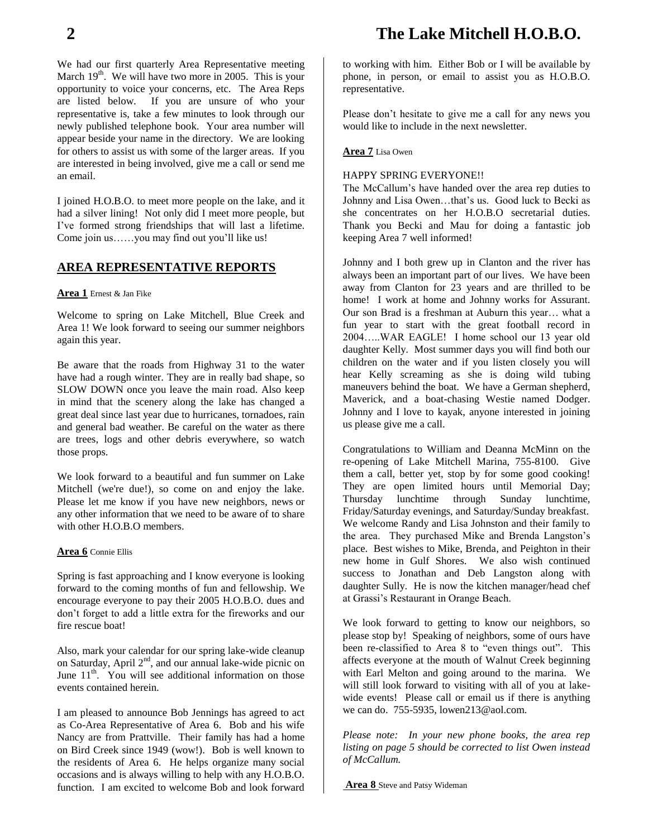We had our first quarterly Area Representative meeting March  $19<sup>th</sup>$ . We will have two more in 2005. This is your opportunity to voice your concerns, etc. The Area Reps are listed below. If you are unsure of who your representative is, take a few minutes to look through our newly published telephone book. Your area number will appear beside your name in the directory. We are looking for others to assist us with some of the larger areas. If you are interested in being involved, give me a call or send me an email.

I joined H.O.B.O. to meet more people on the lake, and it had a silver lining! Not only did I meet more people, but I've formed strong friendships that will last a lifetime. Come join us……you may find out you'll like us!

#### **AREA REPRESENTATIVE REPORTS**

#### **Area 1** Ernest & Jan Fike

Welcome to spring on Lake Mitchell, Blue Creek and Area 1! We look forward to seeing our summer neighbors again this year.

Be aware that the roads from Highway 31 to the water have had a rough winter. They are in really bad shape, so SLOW DOWN once you leave the main road. Also keep in mind that the scenery along the lake has changed a great deal since last year due to hurricanes, tornadoes, rain and general bad weather. Be careful on the water as there are trees, logs and other debris everywhere, so watch those props.

We look forward to a beautiful and fun summer on Lake Mitchell (we're due!), so come on and enjoy the lake. Please let me know if you have new neighbors, news or any other information that we need to be aware of to share with other H.O.B.O members.

#### **Area 6** Connie Ellis

Spring is fast approaching and I know everyone is looking forward to the coming months of fun and fellowship. We encourage everyone to pay their 2005 H.O.B.O. dues and don't forget to add a little extra for the fireworks and our fire rescue boat!

Also, mark your calendar for our spring lake-wide cleanup on Saturday, April  $2<sup>nd</sup>$ , and our annual lake-wide picnic on June  $11<sup>th</sup>$ . You will see additional information on those events contained herein.

I am pleased to announce Bob Jennings has agreed to act as Co-Area Representative of Area 6. Bob and his wife Nancy are from Prattville. Their family has had a home on Bird Creek since 1949 (wow!). Bob is well known to the residents of Area 6. He helps organize many social occasions and is always willing to help with any H.O.B.O. function. I am excited to welcome Bob and look forward

# **2 The Lake Mitchell H.O.B.O.**

to working with him. Either Bob or I will be available by phone, in person, or email to assist you as H.O.B.O. representative.

Please don't hesitate to give me a call for any news you would like to include in the next newsletter.

#### **Area 7** Lisa Owen

#### HAPPY SPRING EVERYONE!!

The McCallum's have handed over the area rep duties to Johnny and Lisa Owen…that's us. Good luck to Becki as she concentrates on her H.O.B.O secretarial duties. Thank you Becki and Mau for doing a fantastic job keeping Area 7 well informed!

Johnny and I both grew up in Clanton and the river has always been an important part of our lives. We have been away from Clanton for 23 years and are thrilled to be home! I work at home and Johnny works for Assurant. Our son Brad is a freshman at Auburn this year… what a fun year to start with the great football record in 2004…..WAR EAGLE! I home school our 13 year old daughter Kelly. Most summer days you will find both our children on the water and if you listen closely you will hear Kelly screaming as she is doing wild tubing maneuvers behind the boat. We have a German shepherd, Maverick, and a boat-chasing Westie named Dodger. Johnny and I love to kayak, anyone interested in joining us please give me a call.

Congratulations to William and Deanna McMinn on the re-opening of Lake Mitchell Marina, 755-8100. Give them a call, better yet, stop by for some good cooking! They are open limited hours until Memorial Day; Thursday lunchtime through Sunday lunchtime, Friday/Saturday evenings, and Saturday/Sunday breakfast. We welcome Randy and Lisa Johnston and their family to the area. They purchased Mike and Brenda Langston's place. Best wishes to Mike, Brenda, and Peighton in their new home in Gulf Shores. We also wish continued success to Jonathan and Deb Langston along with daughter Sully. He is now the kitchen manager/head chef at Grassi's Restaurant in Orange Beach.

We look forward to getting to know our neighbors, so please stop by! Speaking of neighbors, some of ours have been re-classified to Area 8 to "even things out". This affects everyone at the mouth of Walnut Creek beginning with Earl Melton and going around to the marina. We will still look forward to visiting with all of you at lakewide events! Please call or email us if there is anything we can do. 755-5935, lowen213@aol.com.

*Please note: In your new phone books, the area rep listing on page 5 should be corrected to list Owen instead of McCallum.*

**Area 8** Steve and Patsy Wideman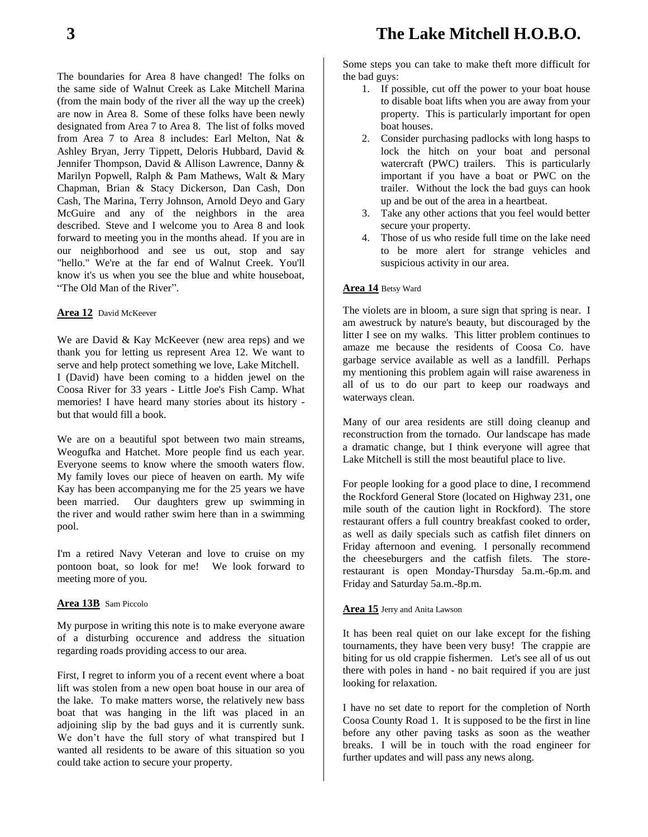The boundaries for Area 8 have changed! The folks on the same side of Walnut Creek as Lake Mitchell Marina (from the main body of the river all the way up the creek) are now in Area 8. Some of these folks have been newly designated from Area 7 to Area 8. The list of folks moved from Area 7 to Area 8 includes: Earl Melton, Nat & Ashley Bryan, Jerry Tippett, Deloris Hubbard, David & Jennifer Thompson, David & Allison Lawrence, Danny & Marilyn Popwell, Ralph & Pam Mathews, Walt & Mary Chapman, Brian & Stacy Dickerson, Dan Cash, Don Cash, The Marina, Terry Johnson, Arnold Deyo and Gary McGuire and any of the neighbors in the area described. Steve and I welcome you to Area 8 and look forward to meeting you in the months ahead. If you are in our neighborhood and see us out, stop and say "hello." We're at the far end of Walnut Creek. You'll know it's us when you see the blue and white houseboat, "The Old Man of the River".

#### **Area 12** David McKeever

We are David & Kay McKeever (new area reps) and we thank you for letting us represent Area 12. We want to serve and help protect something we love, Lake Mitchell. I (David) have been coming to a hidden jewel on the Coosa River for 33 years - Little Joe's Fish Camp. What memories! I have heard many stories about its history but that would fill a book.

We are on a beautiful spot between two main streams, Weogufka and Hatchet. More people find us each year. Everyone seems to know where the smooth waters flow. My family loves our piece of heaven on earth. My wife Kay has been accompanying me for the 25 years we have been married. Our daughters grew up swimming in the river and would rather swim here than in a swimming pool.

I'm a retired Navy Veteran and love to cruise on my pontoon boat, so look for me! We look forward to meeting more of you.

#### **Area 13B** Sam Piccolo

My purpose in writing this note is to make everyone aware of a disturbing occurence and address the situation regarding roads providing access to our area.

First, I regret to inform you of a recent event where a boat lift was stolen from a new open boat house in our area of the lake. To make matters worse, the relatively new bass boat that was hanging in the lift was placed in an adjoining slip by the bad guys and it is currently sunk. We don't have the full story of what transpired but I wanted all residents to be aware of this situation so you could take action to secure your property.

Some steps you can take to make theft more difficult for the bad guys:

- 1. If possible, cut off the power to your boat house to disable boat lifts when you are away from your property. This is particularly important for open boat houses.
- 2. Consider purchasing padlocks with long hasps to lock the hitch on your boat and personal watercraft (PWC) trailers. This is particularly important if you have a boat or PWC on the trailer. Without the lock the bad guys can hook up and be out of the area in a heartbeat.
- 3. Take any other actions that you feel would better secure your property.
- 4. Those of us who reside full time on the lake need to be more alert for strange vehicles and suspicious activity in our area.

#### **Area 14** Betsy Ward

The violets are in bloom, a sure sign that spring is near. I am awestruck by nature's beauty, but discouraged by the litter I see on my walks. This litter problem continues to amaze me because the residents of Coosa Co. have garbage service available as well as a landfill. Perhaps my mentioning this problem again will raise awareness in all of us to do our part to keep our roadways and waterways clean.

Many of our area residents are still doing cleanup and reconstruction from the tornado. Our landscape has made a dramatic change, but I think everyone will agree that Lake Mitchell is still the most beautiful place to live.

For people looking for a good place to dine, I recommend the Rockford General Store (located on Highway 231, one mile south of the caution light in Rockford). The store restaurant offers a full country breakfast cooked to order, as well as daily specials such as catfish filet dinners on Friday afternoon and evening. I personally recommend the cheeseburgers and the catfish filets. The storerestaurant is open Monday-Thursday 5a.m.-6p.m. and Friday and Saturday 5a.m.-8p.m.

#### **Area 15** Jerry and Anita Lawson

It has been real quiet on our lake except for the fishing tournaments, they have been very busy! The crappie are biting for us old crappie fishermen. Let's see all of us out there with poles in hand - no bait required if you are just looking for relaxation.

I have no set date to report for the completion of North Coosa County Road 1. It is supposed to be the first in line before any other paving tasks as soon as the weather breaks. I will be in touch with the road engineer for further updates and will pass any news along.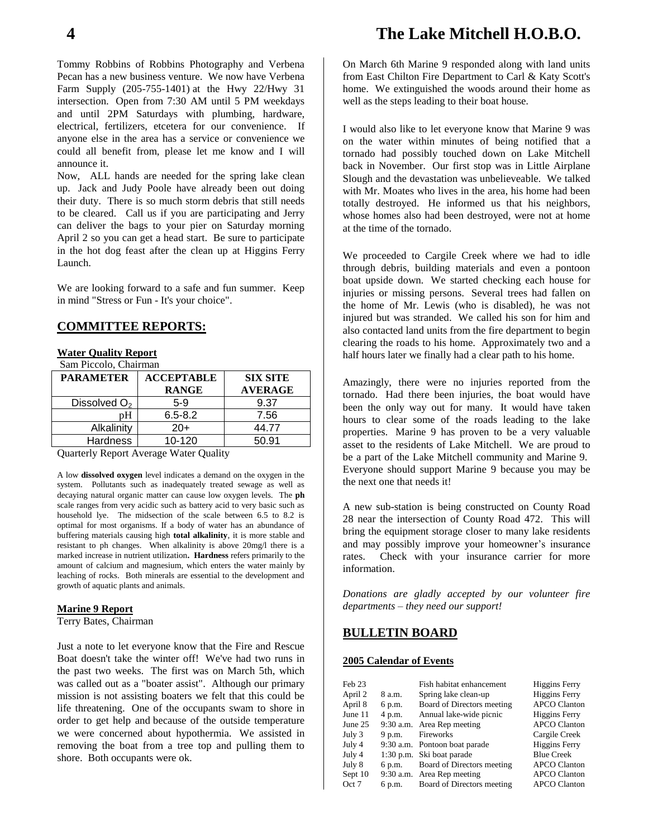Tommy Robbins of Robbins Photography and Verbena Pecan has a new business venture. We now have Verbena Farm Supply (205-755-1401) at the Hwy 22/Hwy 31 intersection. Open from 7:30 AM until 5 PM weekdays and until 2PM Saturdays with plumbing, hardware, electrical, fertilizers, etcetera for our convenience. If anyone else in the area has a service or convenience we could all benefit from, please let me know and I will announce it.

Now, ALL hands are needed for the spring lake clean up. Jack and Judy Poole have already been out doing their duty. There is so much storm debris that still needs to be cleared. Call us if you are participating and Jerry can deliver the bags to your pier on Saturday morning April 2 so you can get a head start. Be sure to participate in the hot dog feast after the clean up at Higgins Ferry Launch.

We are looking forward to a safe and fun summer. Keep in mind "Stress or Fun - It's your choice".

#### **COMMITTEE REPORTS:**

#### **Water Quality Report**

Sam Piccolo, Chairman

| <b>PARAMETER</b> | <b>ACCEPTABLE</b><br><b>RANGE</b> | <b>SIX SITE</b><br><b>AVERAGE</b> |
|------------------|-----------------------------------|-----------------------------------|
| Dissolved $O2$   | $5-9$                             | 9.37                              |
| рH               | $6.5 - 8.2$                       | 7.56                              |
| Alkalinity       | $20+$                             | 44.77                             |
| <b>Hardness</b>  | 10-120                            | 50.91                             |

Quarterly Report Average Water Quality

A low **dissolved oxygen** level indicates a demand on the oxygen in the system. Pollutants such as inadequately treated sewage as well as decaying natural organic matter can cause low oxygen levels. The **ph** scale ranges from very acidic such as battery acid to very basic such as household lye. The midsection of the scale between 6.5 to 8.2 is optimal for most organisms. If a body of water has an abundance of buffering materials causing high **total alkalinity**, it is more stable and resistant to ph changes. When alkalinity is above 20mg/l there is a marked increase in nutrient utilization**. Hardness** refers primarily to the amount of calcium and magnesium, which enters the water mainly by leaching of rocks. Both minerals are essential to the development and growth of aquatic plants and animals.

#### **Marine 9 Report**

Terry Bates, Chairman

Just a note to let everyone know that the Fire and Rescue Boat doesn't take the winter off! We've had two runs in the past two weeks. The first was on March 5th, which was called out as a "boater assist". Although our primary mission is not assisting boaters we felt that this could be life threatening. One of the occupants swam to shore in order to get help and because of the outside temperature we were concerned about hypothermia. We assisted in removing the boat from a tree top and pulling them to shore. Both occupants were ok.

## **4 The Lake Mitchell H.O.B.O.**

On March 6th Marine 9 responded along with land units from East Chilton Fire Department to Carl & Katy Scott's home. We extinguished the woods around their home as well as the steps leading to their boat house.

I would also like to let everyone know that Marine 9 was on the water within minutes of being notified that a tornado had possibly touched down on Lake Mitchell back in November. Our first stop was in Little Airplane Slough and the devastation was unbelieveable. We talked with Mr. Moates who lives in the area, his home had been totally destroyed. He informed us that his neighbors, whose homes also had been destroyed, were not at home at the time of the tornado.

We proceeded to Cargile Creek where we had to idle through debris, building materials and even a pontoon boat upside down. We started checking each house for injuries or missing persons. Several trees had fallen on the home of Mr. Lewis (who is disabled), he was not injured but was stranded. We called his son for him and also contacted land units from the fire department to begin clearing the roads to his home. Approximately two and a half hours later we finally had a clear path to his home.

Amazingly, there were no injuries reported from the tornado. Had there been injuries, the boat would have been the only way out for many. It would have taken hours to clear some of the roads leading to the lake properties. Marine 9 has proven to be a very valuable asset to the residents of Lake Mitchell. We are proud to be a part of the Lake Mitchell community and Marine 9. Everyone should support Marine 9 because you may be the next one that needs it!

A new sub-station is being constructed on County Road 28 near the intersection of County Road 472. This will bring the equipment storage closer to many lake residents and may possibly improve your homeowner's insurance rates. Check with your insurance carrier for more information.

*Donations are gladly accepted by our volunteer fire departments – they need our support!*

#### **BULLETIN BOARD**

#### **2005 Calendar of Events**

| Feb 23  |        | Fish habitat enhancement      | Higgins Ferry        |
|---------|--------|-------------------------------|----------------------|
| April 2 | 8 a.m. | Spring lake clean-up          | <b>Higgins Ferry</b> |
| April 8 | 6 p.m. | Board of Directors meeting    | <b>APCO Clanton</b>  |
| June 11 | 4 p.m. | Annual lake-wide picnic       | Higgins Ferry        |
| June 25 |        | 9:30 a.m. Area Rep meeting    | <b>APCO Clanton</b>  |
| July 3  | 9 p.m. | Fireworks                     | Cargile Creek        |
| July 4  |        | 9:30 a.m. Pontoon boat parade | <b>Higgins Ferry</b> |
| July 4  |        | 1:30 p.m. Ski boat parade     | <b>Blue Creek</b>    |
| July 8  | 6 p.m. | Board of Directors meeting    | <b>APCO Clanton</b>  |
| Sept 10 |        | 9:30 a.m. Area Rep meeting    | <b>APCO Clanton</b>  |
| Oct 7   | 6 p.m. | Board of Directors meeting    | <b>APCO Clanton</b>  |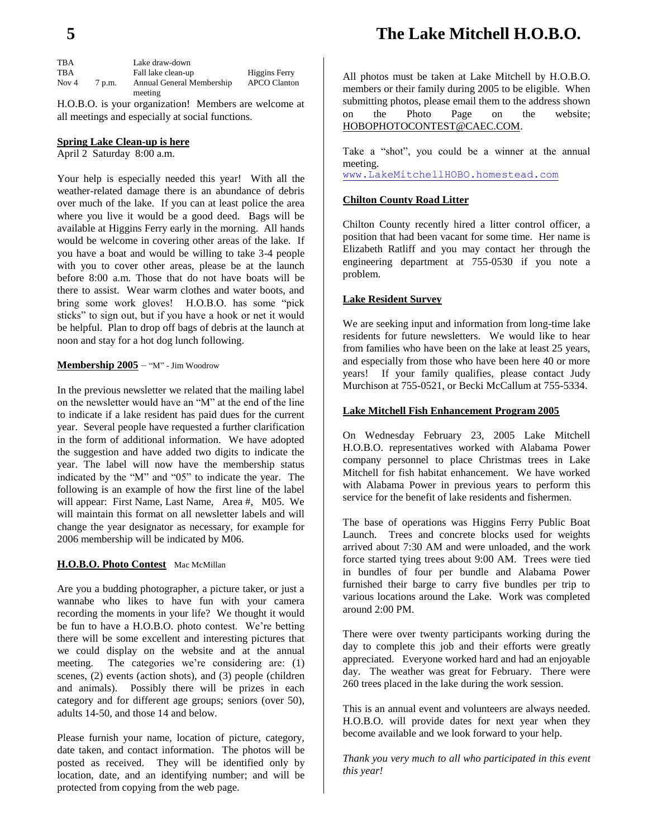| <b>TBA</b> |        | Lake draw-down            |                     |
|------------|--------|---------------------------|---------------------|
| <b>TBA</b> |        | Fall lake clean-up        | Higgins Ferry       |
| Nov $4$    | 7 p.m. | Annual General Membership | <b>APCO Clanton</b> |
|            |        | meeting                   |                     |

H.O.B.O. is your organization! Members are welcome at all meetings and especially at social functions.

#### **Spring Lake Clean-up is here**

April 2 Saturday 8:00 a.m.

Your help is especially needed this year! With all the weather-related damage there is an abundance of debris over much of the lake. If you can at least police the area where you live it would be a good deed. Bags will be available at Higgins Ferry early in the morning. All hands would be welcome in covering other areas of the lake. If you have a boat and would be willing to take 3-4 people with you to cover other areas, please be at the launch before 8:00 a.m. Those that do not have boats will be there to assist. Wear warm clothes and water boots, and bring some work gloves! H.O.B.O. has some "pick sticks" to sign out, but if you have a hook or net it would be helpful. Plan to drop off bags of debris at the launch at noon and stay for a hot dog lunch following.

#### **Membership 2005** – "M" - Jim Woodrow

In the previous newsletter we related that the mailing label on the newsletter would have an "M" at the end of the line to indicate if a lake resident has paid dues for the current year. Several people have requested a further clarification in the form of additional information. We have adopted the suggestion and have added two digits to indicate the year. The label will now have the membership status indicated by the "M" and "05" to indicate the year. The following is an example of how the first line of the label will appear: First Name, Last Name, Area #, M05. We will maintain this format on all newsletter labels and will change the year designator as necessary, for example for 2006 membership will be indicated by M06.

#### **H.O.B.O. Photo Contest** Mac McMillan

Are you a budding photographer, a picture taker, or just a wannabe who likes to have fun with your camera recording the moments in your life? We thought it would be fun to have a H.O.B.O. photo contest. We're betting there will be some excellent and interesting pictures that we could display on the website and at the annual meeting. The categories we're considering are: (1) scenes, (2) events (action shots), and (3) people (children and animals). Possibly there will be prizes in each category and for different age groups; seniors (over 50), adults 14-50, and those 14 and below.

Please furnish your name, location of picture, category, date taken, and contact information. The photos will be posted as received. They will be identified only by location, date, and an identifying number; and will be protected from copying from the web page.

All photos must be taken at Lake Mitchell by H.O.B.O. members or their family during 2005 to be eligible. When submitting photos, please email them to the address shown on the Photo Page on the website; [HOBOPHOTOCONTEST@CAEC.COM.](mailto:HOBOPHOTOCONTEST@CAEC.COM)

Take a "shot", you could be a winner at the annual meeting. [www.LakeMitchellHOBO.homestead.com](http://www.lakemitchellhobo.homestead.com/)

#### **Chilton County Road Litter**

Chilton County recently hired a litter control officer, a position that had been vacant for some time. Her name is Elizabeth Ratliff and you may contact her through the engineering department at 755-0530 if you note a problem.

#### **Lake Resident Survey**

We are seeking input and information from long-time lake residents for future newsletters. We would like to hear from families who have been on the lake at least 25 years, and especially from those who have been here 40 or more years! If your family qualifies, please contact Judy Murchison at 755-0521, or Becki McCallum at 755-5334.

#### **Lake Mitchell Fish Enhancement Program 2005**

On Wednesday February 23, 2005 Lake Mitchell H.O.B.O. representatives worked with Alabama Power company personnel to place Christmas trees in Lake Mitchell for fish habitat enhancement. We have worked with Alabama Power in previous years to perform this service for the benefit of lake residents and fishermen.

The base of operations was Higgins Ferry Public Boat Launch. Trees and concrete blocks used for weights arrived about 7:30 AM and were unloaded, and the work force started tying trees about 9:00 AM. Trees were tied in bundles of four per bundle and Alabama Power furnished their barge to carry five bundles per trip to various locations around the Lake. Work was completed around 2:00 PM.

There were over twenty participants working during the day to complete this job and their efforts were greatly appreciated. Everyone worked hard and had an enjoyable day. The weather was great for February. There were 260 trees placed in the lake during the work session.

This is an annual event and volunteers are always needed. H.O.B.O. will provide dates for next year when they become available and we look forward to your help.

*Thank you very much to all who participated in this event this year!*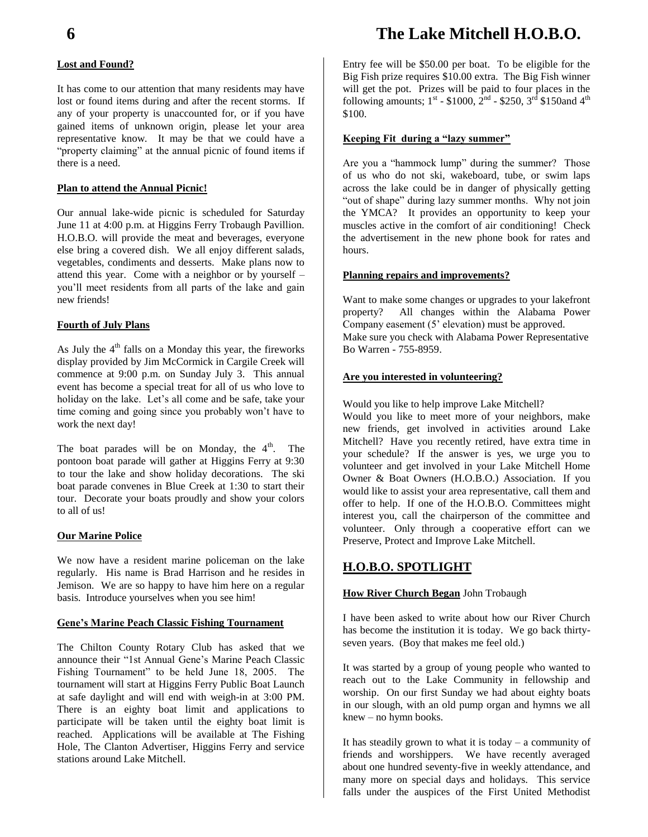#### **Lost and Found?**

It has come to our attention that many residents may have lost or found items during and after the recent storms. If any of your property is unaccounted for, or if you have gained items of unknown origin, please let your area representative know. It may be that we could have a "property claiming" at the annual picnic of found items if there is a need.

#### **Plan to attend the Annual Picnic!**

Our annual lake-wide picnic is scheduled for Saturday June 11 at 4:00 p.m. at Higgins Ferry Trobaugh Pavillion. H.O.B.O. will provide the meat and beverages, everyone else bring a covered dish. We all enjoy different salads, vegetables, condiments and desserts. Make plans now to attend this year. Come with a neighbor or by yourself – you'll meet residents from all parts of the lake and gain new friends!

#### **Fourth of July Plans**

As July the  $4<sup>th</sup>$  falls on a Monday this year, the fireworks display provided by Jim McCormick in Cargile Creek will commence at 9:00 p.m. on Sunday July 3. This annual event has become a special treat for all of us who love to holiday on the lake. Let's all come and be safe, take your time coming and going since you probably won't have to work the next day!

The boat parades will be on Monday, the  $4<sup>th</sup>$ . The pontoon boat parade will gather at Higgins Ferry at 9:30 to tour the lake and show holiday decorations. The ski boat parade convenes in Blue Creek at 1:30 to start their tour. Decorate your boats proudly and show your colors to all of us!

#### **Our Marine Police**

We now have a resident marine policeman on the lake regularly. His name is Brad Harrison and he resides in Jemison. We are so happy to have him here on a regular basis. Introduce yourselves when you see him!

#### **Gene's Marine Peach Classic Fishing Tournament**

The Chilton County Rotary Club has asked that we announce their "1st Annual Gene's Marine Peach Classic Fishing Tournament" to be held June 18, 2005. The tournament will start at Higgins Ferry Public Boat Launch at safe daylight and will end with weigh-in at 3:00 PM. There is an eighty boat limit and applications to participate will be taken until the eighty boat limit is reached. Applications will be available at The Fishing Hole, The Clanton Advertiser, Higgins Ferry and service stations around Lake Mitchell.

# **6 The Lake Mitchell H.O.B.O.**

Entry fee will be \$50.00 per boat. To be eligible for the Big Fish prize requires \$10.00 extra. The Big Fish winner will get the pot. Prizes will be paid to four places in the following amounts;  $1^{st}$  - \$1000,  $2^{nd}$  - \$250,  $3^{rd}$  \$150and 4<sup>th</sup> \$100.

#### **Keeping Fit during a "lazy summer"**

Are you a "hammock lump" during the summer? Those of us who do not ski, wakeboard, tube, or swim laps across the lake could be in danger of physically getting "out of shape" during lazy summer months. Why not join the YMCA? It provides an opportunity to keep your muscles active in the comfort of air conditioning! Check the advertisement in the new phone book for rates and hours.

#### **Planning repairs and improvements?**

Want to make some changes or upgrades to your lakefront property? All changes within the Alabama Power Company easement (5' elevation) must be approved. Make sure you check with Alabama Power Representative Bo Warren - 755-8959.

#### **Are you interested in volunteering?**

Would you like to help improve Lake Mitchell?

Would you like to meet more of your neighbors, make new friends, get involved in activities around Lake Mitchell? Have you recently retired, have extra time in your schedule? If the answer is yes, we urge you to volunteer and get involved in your Lake Mitchell Home Owner & Boat Owners (H.O.B.O.) Association. If you would like to assist your area representative, call them and offer to help. If one of the H.O.B.O. Committees might interest you, call the chairperson of the committee and volunteer. Only through a cooperative effort can we Preserve, Protect and Improve Lake Mitchell.

### **H.O.B.O. SPOTLIGHT**

#### **How River Church Began** John Trobaugh

I have been asked to write about how our River Church has become the institution it is today. We go back thirtyseven years. (Boy that makes me feel old.)

It was started by a group of young people who wanted to reach out to the Lake Community in fellowship and worship. On our first Sunday we had about eighty boats in our slough, with an old pump organ and hymns we all knew – no hymn books.

It has steadily grown to what it is today  $-$  a community of friends and worshippers. We have recently averaged about one hundred seventy-five in weekly attendance, and many more on special days and holidays. This service falls under the auspices of the First United Methodist